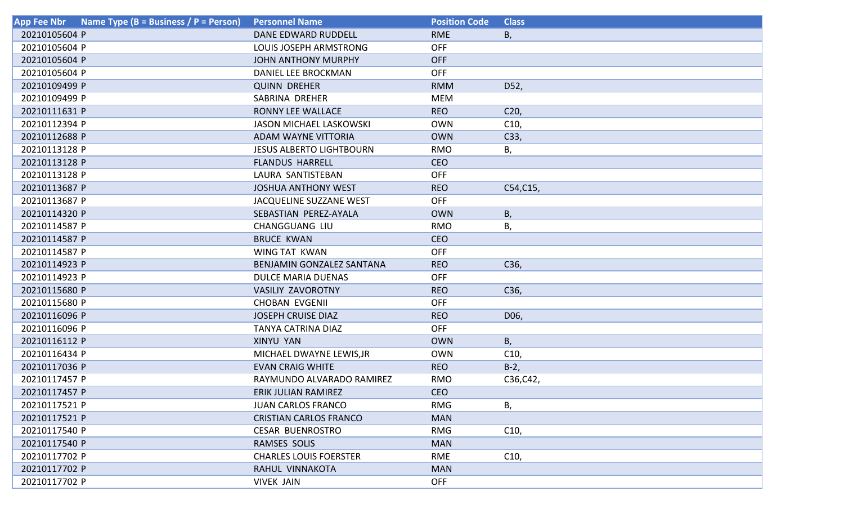| Name Type (B = Business / P = Person)<br><b>App Fee Nbr</b> | <b>Personnel Name</b>           | <b>Position Code</b> | <b>Class</b>    |
|-------------------------------------------------------------|---------------------------------|----------------------|-----------------|
| 20210105604 P                                               | DANE EDWARD RUDDELL             | <b>RME</b>           | Β,              |
| 20210105604 P                                               | LOUIS JOSEPH ARMSTRONG          | <b>OFF</b>           |                 |
| 20210105604 P                                               | <b>JOHN ANTHONY MURPHY</b>      | <b>OFF</b>           |                 |
| 20210105604 P                                               | DANIEL LEE BROCKMAN             | OFF                  |                 |
| 20210109499 P                                               | <b>QUINN DREHER</b>             | <b>RMM</b>           | D52,            |
| 20210109499 P                                               | SABRINA DREHER                  | <b>MEM</b>           |                 |
| 20210111631 P                                               | RONNY LEE WALLACE               | <b>REO</b>           | C <sub>20</sub> |
| 20210112394 P                                               | <b>JASON MICHAEL LASKOWSKI</b>  | <b>OWN</b>           | C10,            |
| 20210112688 P                                               | <b>ADAM WAYNE VITTORIA</b>      | <b>OWN</b>           | C33,            |
| 20210113128 P                                               | <b>JESUS ALBERTO LIGHTBOURN</b> | <b>RMO</b>           | В,              |
| 20210113128 P                                               | <b>FLANDUS HARRELL</b>          | <b>CEO</b>           |                 |
| 20210113128 P                                               | LAURA SANTISTEBAN               | <b>OFF</b>           |                 |
| 20210113687 P                                               | <b>JOSHUA ANTHONY WEST</b>      | <b>REO</b>           | C54, C15,       |
| 20210113687 P                                               | JACQUELINE SUZZANE WEST         | <b>OFF</b>           |                 |
| 20210114320 P                                               | SEBASTIAN PEREZ-AYALA           | <b>OWN</b>           | Β,              |
| 20210114587 P                                               | CHANGGUANG LIU                  | <b>RMO</b>           | Β,              |
| 20210114587 P                                               | <b>BRUCE KWAN</b>               | <b>CEO</b>           |                 |
| 20210114587 P                                               | WING TAT KWAN                   | <b>OFF</b>           |                 |
| 20210114923 P                                               | BENJAMIN GONZALEZ SANTANA       | <b>REO</b>           | C36,            |
| 20210114923 P                                               | <b>DULCE MARIA DUENAS</b>       | <b>OFF</b>           |                 |
| 20210115680 P                                               | <b>VASILIY ZAVOROTNY</b>        | <b>REO</b>           | C36,            |
| 20210115680 P                                               | <b>CHOBAN EVGENII</b>           | <b>OFF</b>           |                 |
| 20210116096 P                                               | <b>JOSEPH CRUISE DIAZ</b>       | <b>REO</b>           | D06,            |
| 20210116096 P                                               | <b>TANYA CATRINA DIAZ</b>       | <b>OFF</b>           |                 |
| 20210116112 P                                               | <b>XINYU YAN</b>                | <b>OWN</b>           | В,              |
| 20210116434 P                                               | MICHAEL DWAYNE LEWIS, JR        | <b>OWN</b>           | C10,            |
| 20210117036 P                                               | <b>EVAN CRAIG WHITE</b>         | <b>REO</b>           | $B-2$           |
| 20210117457 P                                               | RAYMUNDO ALVARADO RAMIREZ       | <b>RMO</b>           | C36, C42,       |
| 20210117457 P                                               | ERIK JULIAN RAMIREZ             | <b>CEO</b>           |                 |
| 20210117521 P                                               | <b>JUAN CARLOS FRANCO</b>       | <b>RMG</b>           | В,              |
| 20210117521 P                                               | <b>CRISTIAN CARLOS FRANCO</b>   | <b>MAN</b>           |                 |
| 20210117540 P                                               | <b>CESAR BUENROSTRO</b>         | <b>RMG</b>           | C10,            |
| 20210117540 P                                               | RAMSES SOLIS                    | <b>MAN</b>           |                 |
| 20210117702 P                                               | <b>CHARLES LOUIS FOERSTER</b>   | RME                  | C10,            |
| 20210117702 P                                               | RAHUL VINNAKOTA                 | <b>MAN</b>           |                 |
| 20210117702 P                                               | <b>VIVEK JAIN</b>               | <b>OFF</b>           |                 |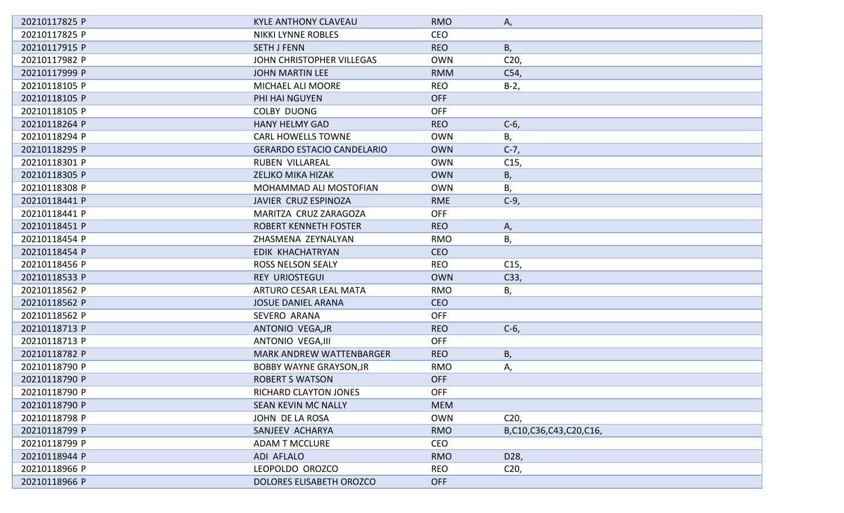| 20210117825 P | <b>KYLE ANTHONY CLAVEAU</b>       | <b>RMO</b> | А,                     |
|---------------|-----------------------------------|------------|------------------------|
| 20210117825 P | <b>NIKKI LYNNE ROBLES</b>         | <b>CEO</b> |                        |
| 20210117915 P | <b>SETH J FENN</b>                | <b>REO</b> | В,                     |
| 20210117982 P | JOHN CHRISTOPHER VILLEGAS         | <b>OWN</b> | C <sub>20</sub>        |
| 20210117999 P | <b>JOHN MARTIN LEE</b>            | <b>RMM</b> | C54,                   |
| 20210118105 P | MICHAEL ALI MOORE                 | <b>REO</b> | $B-2,$                 |
| 20210118105 P | PHI HAI NGUYEN                    | <b>OFF</b> |                        |
| 20210118105 P | <b>COLBY DUONG</b>                | <b>OFF</b> |                        |
| 20210118264 P | <b>HANY HELMY GAD</b>             | <b>REO</b> | $C-6$                  |
| 20210118294 P | <b>CARL HOWELLS TOWNE</b>         | <b>OWN</b> | В,                     |
| 20210118295 P | <b>GERARDO ESTACIO CANDELARIO</b> | <b>OWN</b> | $C-7,$                 |
| 20210118301 P | RUBEN VILLAREAL                   | <b>OWN</b> | C15,                   |
| 20210118305 P | <b>ZELJKO MIKA HIZAK</b>          | <b>OWN</b> | Β,                     |
| 20210118308 P | MOHAMMAD ALI MOSTOFIAN            | <b>OWN</b> | Β,                     |
| 20210118441 P | JAVIER CRUZ ESPINOZA              | <b>RME</b> | $C-9$ ,                |
| 20210118441 P | MARITZA CRUZ ZARAGOZA             | <b>OFF</b> |                        |
| 20210118451 P | ROBERT KENNETH FOSTER             | <b>REO</b> | А,                     |
| 20210118454 P | ZHASMENA ZEYNALYAN                | <b>RMO</b> | В,                     |
| 20210118454 P | EDIK KHACHATRYAN                  | <b>CEO</b> |                        |
| 20210118456 P | <b>ROSS NELSON SEALY</b>          | <b>REO</b> | C <sub>15</sub>        |
| 20210118533 P | <b>REY URIOSTEGUI</b>             | <b>OWN</b> | C33,                   |
| 20210118562 P | ARTURO CESAR LEAL MATA            | <b>RMO</b> | В,                     |
| 20210118562 P | <b>JOSUE DANIEL ARANA</b>         | <b>CEO</b> |                        |
| 20210118562 P | SEVERO ARANA                      | <b>OFF</b> |                        |
| 20210118713 P | ANTONIO VEGA, JR                  | <b>REO</b> | $C-6$                  |
| 20210118713 P | <b>ANTONIO VEGA, III</b>          | <b>OFF</b> |                        |
| 20210118782 P | <b>MARK ANDREW WATTENBARGER</b>   | <b>REO</b> | Β,                     |
| 20210118790 P | <b>BOBBY WAYNE GRAYSON, JR</b>    | <b>RMO</b> | А,                     |
| 20210118790 P | <b>ROBERT S WATSON</b>            | <b>OFF</b> |                        |
| 20210118790 P | RICHARD CLAYTON JONES             | <b>OFF</b> |                        |
| 20210118790 P | SEAN KEVIN MC NALLY               | <b>MEM</b> |                        |
| 20210118798 P | JOHN DE LA ROSA                   | <b>OWN</b> | C <sub>20</sub>        |
| 20210118799 P | SANJEEV ACHARYA                   | <b>RMO</b> | B,C10,C36,C43,C20,C16, |
| 20210118799 P | <b>ADAM T MCCLURE</b>             | <b>CEO</b> |                        |
| 20210118944 P | ADI AFLALO                        | <b>RMO</b> | D28,                   |
| 20210118966 P | LEOPOLDO OROZCO                   | <b>REO</b> | C <sub>20</sub>        |
| 20210118966 P | DOLORES ELISABETH OROZCO          | <b>OFF</b> |                        |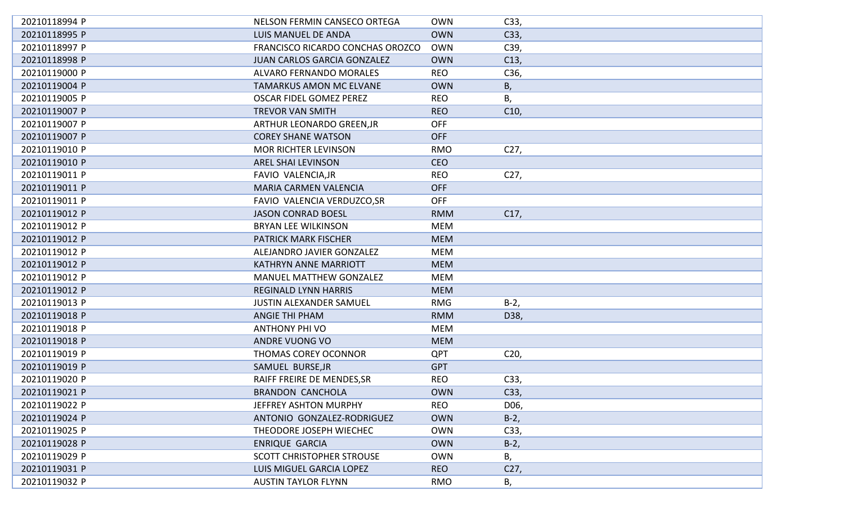| 20210118994 P | NELSON FERMIN CANSECO ORTEGA       | <b>OWN</b> | C33,            |
|---------------|------------------------------------|------------|-----------------|
| 20210118995 P | LUIS MANUEL DE ANDA                | <b>OWN</b> | C33,            |
| 20210118997 P | FRANCISCO RICARDO CONCHAS OROZCO   | <b>OWN</b> | C39,            |
| 20210118998 P | <b>JUAN CARLOS GARCIA GONZALEZ</b> | <b>OWN</b> | C13,            |
| 20210119000 P | <b>ALVARO FERNANDO MORALES</b>     | <b>REO</b> | C36,            |
| 20210119004 P | <b>TAMARKUS AMON MC ELVANE</b>     | <b>OWN</b> | В,              |
| 20210119005 P | <b>OSCAR FIDEL GOMEZ PEREZ</b>     | <b>REO</b> | В,              |
| 20210119007 P | <b>TREVOR VAN SMITH</b>            | <b>REO</b> | C10,            |
| 20210119007 P | ARTHUR LEONARDO GREEN, JR          | <b>OFF</b> |                 |
| 20210119007 P | <b>COREY SHANE WATSON</b>          | <b>OFF</b> |                 |
| 20210119010 P | <b>MOR RICHTER LEVINSON</b>        | <b>RMO</b> | C27,            |
| 20210119010 P | <b>AREL SHAI LEVINSON</b>          | <b>CEO</b> |                 |
| 20210119011 P | FAVIO VALENCIA, JR                 | <b>REO</b> | C <sub>27</sub> |
| 20210119011 P | MARIA CARMEN VALENCIA              | <b>OFF</b> |                 |
| 20210119011 P | FAVIO VALENCIA VERDUZCO, SR        | <b>OFF</b> |                 |
| 20210119012 P | <b>JASON CONRAD BOESL</b>          | <b>RMM</b> | C17,            |
| 20210119012 P | <b>BRYAN LEE WILKINSON</b>         | <b>MEM</b> |                 |
| 20210119012 P | <b>PATRICK MARK FISCHER</b>        | <b>MEM</b> |                 |
| 20210119012 P | ALEJANDRO JAVIER GONZALEZ          | <b>MEM</b> |                 |
| 20210119012 P | <b>KATHRYN ANNE MARRIOTT</b>       | <b>MEM</b> |                 |
| 20210119012 P | <b>MANUEL MATTHEW GONZALEZ</b>     | <b>MEM</b> |                 |
| 20210119012 P | <b>REGINALD LYNN HARRIS</b>        | <b>MEM</b> |                 |
| 20210119013 P | <b>JUSTIN ALEXANDER SAMUEL</b>     | <b>RMG</b> | $B-2,$          |
| 20210119018 P | <b>ANGIE THI PHAM</b>              | <b>RMM</b> | D38,            |
| 20210119018 P | <b>ANTHONY PHI VO</b>              | <b>MEM</b> |                 |
| 20210119018 P | ANDRE VUONG VO                     | <b>MEM</b> |                 |
| 20210119019 P | <b>THOMAS COREY OCONNOR</b>        | <b>QPT</b> | C <sub>20</sub> |
| 20210119019 P | SAMUEL BURSE, JR                   | <b>GPT</b> |                 |
| 20210119020 P | RAIFF FREIRE DE MENDES, SR         | <b>REO</b> | C33,            |
| 20210119021 P | <b>BRANDON CANCHOLA</b>            | <b>OWN</b> | C33,            |
| 20210119022 P | JEFFREY ASHTON MURPHY              | <b>REO</b> | D06,            |
| 20210119024 P | ANTONIO GONZALEZ-RODRIGUEZ         | <b>OWN</b> | $B-2,$          |
| 20210119025 P | THEODORE JOSEPH WIECHEC            | <b>OWN</b> | C33,            |
| 20210119028 P | <b>ENRIQUE GARCIA</b>              | <b>OWN</b> | $B-2$ ,         |
| 20210119029 P | <b>SCOTT CHRISTOPHER STROUSE</b>   | <b>OWN</b> | В,              |
| 20210119031 P | <b>LUIS MIGUEL GARCIA LOPEZ</b>    | <b>REO</b> | C27,            |
| 20210119032 P | <b>AUSTIN TAYLOR FLYNN</b>         | <b>RMO</b> | Β,              |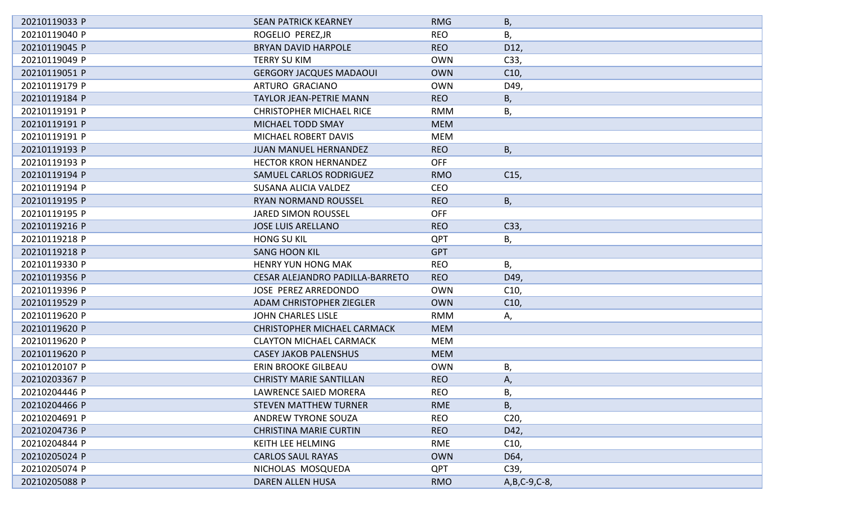| 20210119033 P | <b>SEAN PATRICK KEARNEY</b>        | <b>RMG</b> | Β,              |
|---------------|------------------------------------|------------|-----------------|
| 20210119040 P | ROGELIO PEREZ, JR                  | <b>REO</b> | В,              |
| 20210119045 P | <b>BRYAN DAVID HARPOLE</b>         | <b>REO</b> | D12,            |
| 20210119049 P | <b>TERRY SU KIM</b>                | <b>OWN</b> | C33,            |
| 20210119051 P | <b>GERGORY JACQUES MADAOUI</b>     | <b>OWN</b> | C10,            |
| 20210119179 P | ARTURO GRACIANO                    | <b>OWN</b> | D49,            |
| 20210119184 P | <b>TAYLOR JEAN-PETRIE MANN</b>     | <b>REO</b> | Β,              |
| 20210119191 P | <b>CHRISTOPHER MICHAEL RICE</b>    | <b>RMM</b> | Β,              |
| 20210119191 P | MICHAEL TODD SMAY                  | <b>MEM</b> |                 |
| 20210119191 P | MICHAEL ROBERT DAVIS               | MEM        |                 |
| 20210119193 P | <b>JUAN MANUEL HERNANDEZ</b>       | <b>REO</b> | Β,              |
| 20210119193 P | <b>HECTOR KRON HERNANDEZ</b>       | <b>OFF</b> |                 |
| 20210119194 P | SAMUEL CARLOS RODRIGUEZ            | <b>RMO</b> | C15,            |
| 20210119194 P | SUSANA ALICIA VALDEZ               | <b>CEO</b> |                 |
| 20210119195 P | <b>RYAN NORMAND ROUSSEL</b>        | <b>REO</b> | В,              |
| 20210119195 P | <b>JARED SIMON ROUSSEL</b>         | <b>OFF</b> |                 |
| 20210119216 P | <b>JOSE LUIS ARELLANO</b>          | <b>REO</b> | C33,            |
| 20210119218 P | <b>HONG SU KIL</b>                 | <b>QPT</b> | В,              |
| 20210119218 P | <b>SANG HOON KIL</b>               | <b>GPT</b> |                 |
| 20210119330 P | HENRY YUN HONG MAK                 | <b>REO</b> | В,              |
| 20210119356 P | CESAR ALEJANDRO PADILLA-BARRETO    | <b>REO</b> | D49,            |
| 20210119396 P | <b>JOSE PEREZ ARREDONDO</b>        | <b>OWN</b> | C <sub>10</sub> |
| 20210119529 P | <b>ADAM CHRISTOPHER ZIEGLER</b>    | <b>OWN</b> | C10,            |
| 20210119620 P | <b>JOHN CHARLES LISLE</b>          | <b>RMM</b> | А,              |
| 20210119620 P | <b>CHRISTOPHER MICHAEL CARMACK</b> | <b>MEM</b> |                 |
| 20210119620 P | <b>CLAYTON MICHAEL CARMACK</b>     | <b>MEM</b> |                 |
| 20210119620 P | <b>CASEY JAKOB PALENSHUS</b>       | <b>MEM</b> |                 |
| 20210120107 P | ERIN BROOKE GILBEAU                | <b>OWN</b> | Β,              |
| 20210203367 P | <b>CHRISTY MARIE SANTILLAN</b>     | <b>REO</b> | А,              |
| 20210204446 P | LAWRENCE SAIED MORERA              | REO.       | В,              |
| 20210204466 P | <b>STEVEN MATTHEW TURNER</b>       | <b>RME</b> | В,              |
| 20210204691 P | ANDREW TYRONE SOUZA                | <b>REO</b> | C <sub>20</sub> |
| 20210204736 P | <b>CHRISTINA MARIE CURTIN</b>      | <b>REO</b> | D42,            |
| 20210204844 P | KEITH LEE HELMING                  | RME        | C10,            |
| 20210205024 P | <b>CARLOS SAUL RAYAS</b>           | <b>OWN</b> | D64,            |
| 20210205074 P | NICHOLAS MOSQUEDA                  | <b>QPT</b> | C39,            |
| 20210205088 P | DAREN ALLEN HUSA                   | <b>RMO</b> | A, B, C-9, C-8, |